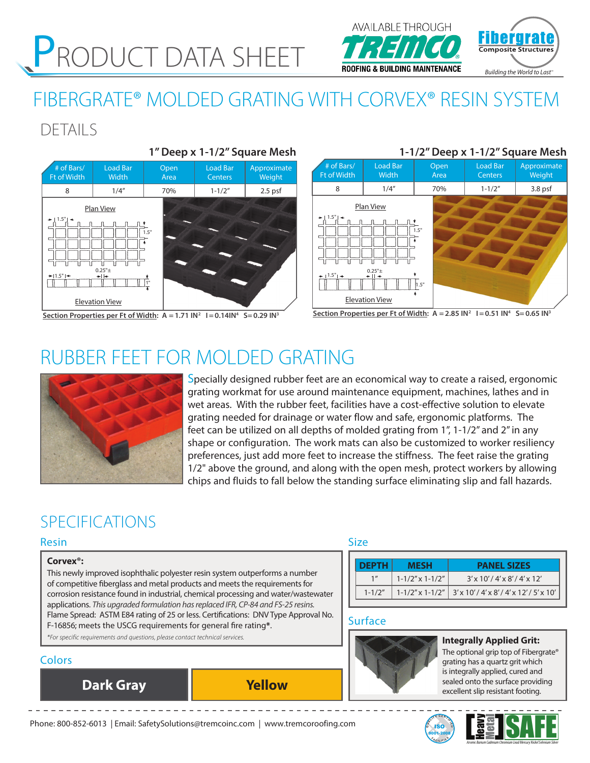# PRODUCT DATA SHEET

## IATOTA **Composite Structure** *Building the World to Last™*

# FIBERGRATE® MOLDED GRATING WITH CORVEX® RESIN SYSTEM

## DETAILS



 # of Bars/ Ft of Width Load Bar Width Open Area Load Bar **Centers** Approximate Weight 8 1/4" 70% 1-1/2" 3.8 psf 1.5" 1.5" Plan View Elevation View  $1.5"$   $\rightarrow$   $1.5"$   $\rightarrow$   $\rightarrow$   $\parallel$   $\rightarrow$ 1.5" **1-1/2" Deep x 1-1/2" Square Mesh**

#### Section Properties per Ft of Width:  $A = 1.71$   $IN^2$   $I = 0.14$  $IN^4$  S = 0.29  $IN^3$

#### Section Properties per Ft of Width:  $A = 2.85$   $N^2$   $I = 0.51$   $N^4$   $S = 0.65$   $N^3$

## RUBBER FEET FOR MOLDED GRATING



Specially designed rubber feet are an economical way to create a raised, ergonomic grating workmat for use around maintenance equipment, machines, lathes and in wet areas. With the rubber feet, facilities have a cost-effective solution to elevate grating needed for drainage or water flow and safe, ergonomic platforms. The feet can be utilized on all depths of molded grating from 1", 1-1/2" and 2" in any shape or configuration. The work mats can also be customized to worker resiliency preferences, just add more feet to increase the stiffness. The feet raise the grating 1/2" above the ground, and along with the open mesh, protect workers by allowing chips and fluids to fall below the standing surface eliminating slip and fall hazards.

## SPECIFICATIONS

#### Resin

#### **Corvex®:**

This newly improved isophthalic polyester resin system outperforms a number of competitive fiberglass and metal products and meets the requirements for corrosion resistance found in industrial, chemical processing and water/wastewater applications. *This upgraded formulation has replaced IFR, CP-84 and FS-25 resins.* Flame Spread: ASTM E84 rating of 25 or less. Certifications: DNV Type Approval No. F-16856; meets the USCG requirements for general fire rating**\***. *\*For specific requirements and questions, please contact technical services.*

### **Colors**

**Dark Gray Yellow**

### Size

| <b>DEPTH</b> | <b>MESH</b>               | <b>PANEL SIZES</b>                                              |
|--------------|---------------------------|-----------------------------------------------------------------|
|              | $1 - 1/2''$ x $1 - 1/2''$ | $3'$ x 10' / 4' x 8' / 4' x 12'                                 |
| $1 - 1/2''$  |                           | $1 - 1/2''$ x 1-1/2"   3' x 10' / 4' x 8' / 4' x 12' / 5' x 10' |

#### Surface



**Integrally Applied Grit:**

The optional grip top of Fibergrate® grating has a quartz grit which is integrally applied, cured and sealed onto the surface providing excellent slip resistant footing.